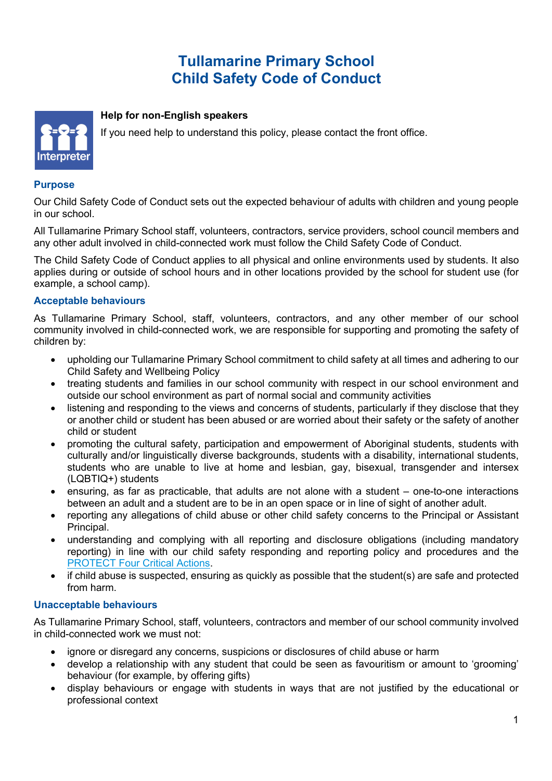# **Tullamarine Primary School Child Safety Code of Conduct**



## **Help for non-English speakers**

If you need help to understand this policy, please contact the front office.

## **Purpose**

Our Child Safety Code of Conduct sets out the expected behaviour of adults with children and young people in our school.

All Tullamarine Primary School staff, volunteers, contractors, service providers, school council members and any other adult involved in child-connected work must follow the Child Safety Code of Conduct.

The Child Safety Code of Conduct applies to all physical and online environments used by students. It also applies during or outside of school hours and in other locations provided by the school for student use (for example, a school camp).

#### **Acceptable behaviours**

As Tullamarine Primary School, staff, volunteers, contractors, and any other member of our school community involved in child-connected work, we are responsible for supporting and promoting the safety of children by:

- upholding our Tullamarine Primary School commitment to child safety at all times and adhering to our Child Safety and Wellbeing Policy
- treating students and families in our school community with respect in our school environment and outside our school environment as part of normal social and community activities
- listening and responding to the views and concerns of students, particularly if they disclose that they or another child or student has been abused or are worried about their safety or the safety of another child or student
- promoting the cultural safety, participation and empowerment of Aboriginal students, students with culturally and/or linguistically diverse backgrounds, students with a disability, international students, students who are unable to live at home and lesbian, gay, bisexual, transgender and intersex (LQBTIQ+) students
- ensuring, as far as practicable, that adults are not alone with a student one-to-one interactions between an adult and a student are to be in an open space or in line of sight of another adult.
- reporting any allegations of child abuse or other child safety concerns to the Principal or Assistant Principal.
- understanding and complying with all reporting and disclosure obligations (including mandatory reporting) in line with our child safety responding and reporting policy and procedures and the PROTECT Four Critical Actions.
- if child abuse is suspected, ensuring as quickly as possible that the student(s) are safe and protected from harm.

#### **Unacceptable behaviours**

As Tullamarine Primary School, staff, volunteers, contractors and member of our school community involved in child-connected work we must not:

- ignore or disregard any concerns, suspicions or disclosures of child abuse or harm
- develop a relationship with any student that could be seen as favouritism or amount to 'grooming' behaviour (for example, by offering gifts)
- display behaviours or engage with students in ways that are not justified by the educational or professional context